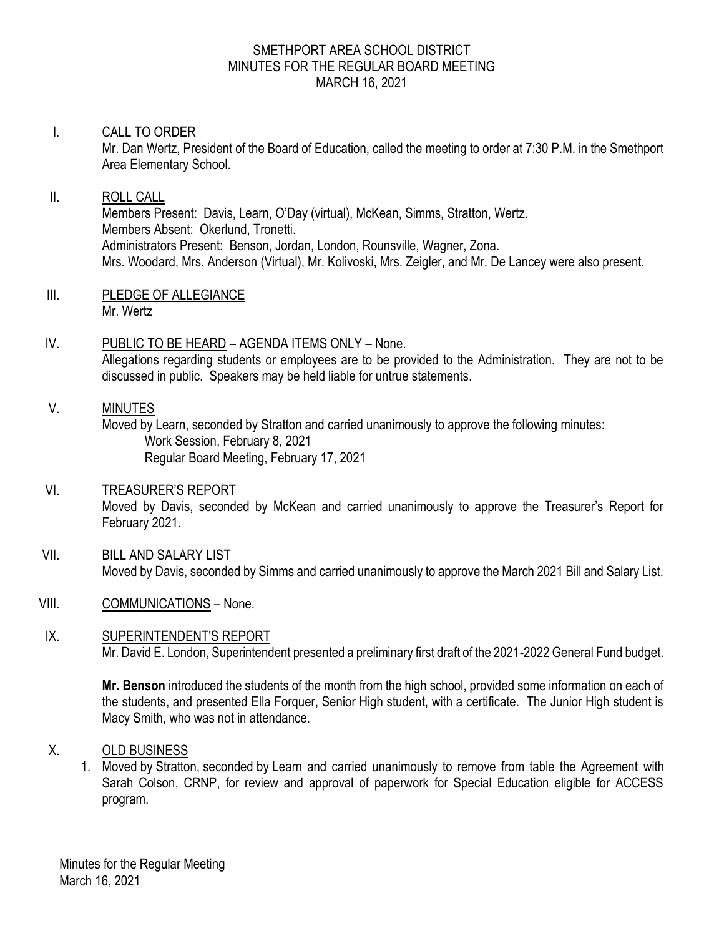#### SMETHPORT AREA SCHOOL DISTRICT MINUTES FOR THE REGULAR BOARD MEETING MARCH 16, 2021

## I. CALL TO ORDER

Mr. Dan Wertz, President of the Board of Education, called the meeting to order at 7:30 P.M. in the Smethport Area Elementary School.

# II. ROLL CALL Members Present: Davis, Learn, O'Day (virtual), McKean, Simms, Stratton, Wertz. Members Absent: Okerlund, Tronetti. Administrators Present: Benson, Jordan, London, Rounsville, Wagner, Zona. Mrs. Woodard, Mrs. Anderson (Virtual), Mr. Kolivoski, Mrs. Zeigler, and Mr. De Lancey were also present.

- III. PLEDGE OF ALLEGIANCE Mr. Wertz
- IV. PUBLIC TO BE HEARD AGENDA ITEMS ONLY None. Allegations regarding students or employees are to be provided to the Administration. They are not to be discussed in public. Speakers may be held liable for untrue statements.

#### V. MINUTES

Moved by Learn, seconded by Stratton and carried unanimously to approve the following minutes: Work Session, February 8, 2021 Regular Board Meeting, February 17, 2021

# VI. TREASURER'S REPORT

Moved by Davis, seconded by McKean and carried unanimously to approve the Treasurer's Report for February 2021.

- VII. BILL AND SALARY LIST Moved by Davis, seconded by Simms and carried unanimously to approve the March 2021 Bill and Salary List.
- VIII. COMMUNICATIONS None.

#### IX. SUPERINTENDENT'S REPORT Mr. David E. London, Superintendent presented a preliminary first draft of the 2021-2022 General Fund budget.

**Mr. Benson** introduced the students of the month from the high school, provided some information on each of the students, and presented Ella Forquer, Senior High student, with a certificate. The Junior High student is Macy Smith, who was not in attendance.

#### X. OLD BUSINESS

1. Moved by Stratton, seconded by Learn and carried unanimously to remove from table the Agreement with Sarah Colson, CRNP, for review and approval of paperwork for Special Education eligible for ACCESS program.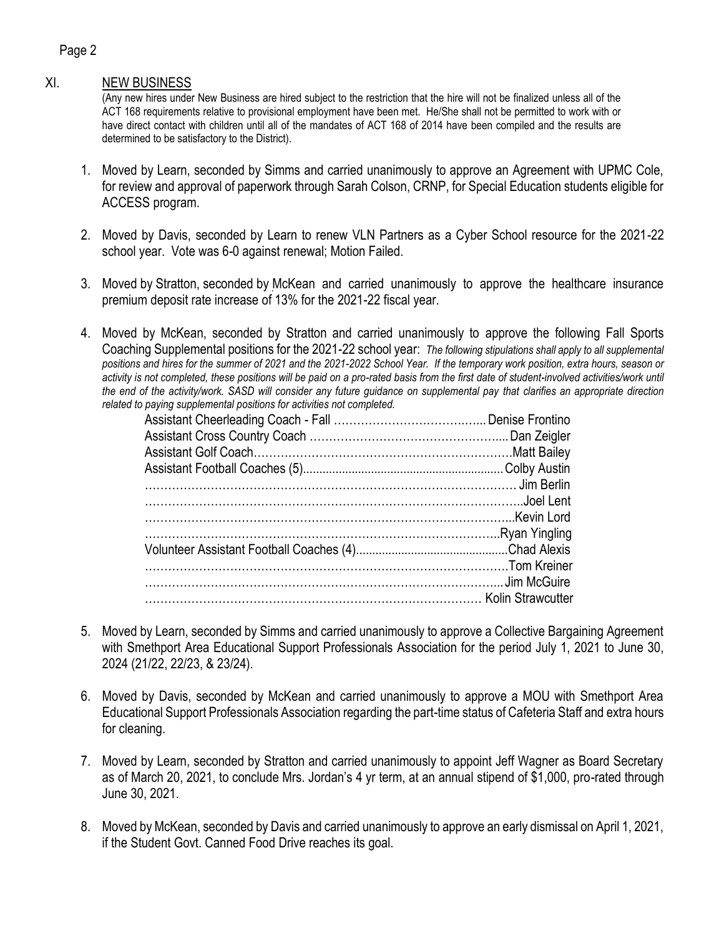# XI. NEW BUSINESS

(Any new hires under New Business are hired subject to the restriction that the hire will not be finalized unless all of the ACT 168 requirements relative to provisional employment have been met. He/She shall not be permitted to work with or have direct contact with children until all of the mandates of ACT 168 of 2014 have been compiled and the results are determined to be satisfactory to the District).

- 1. Moved by Learn, seconded by Simms and carried unanimously to approve an Agreement with UPMC Cole, for review and approval of paperwork through Sarah Colson, CRNP, for Special Education students eligible for ACCESS program.
- 2. Moved by Davis, seconded by Learn to renew VLN Partners as a Cyber School resource for the 2021-22 school year. Vote was 6-0 against renewal; Motion Failed.
- 3. Moved by Stratton, seconded by McKean and carried unanimously to approve the healthcare insurance premium deposit rate increase of 13% for the 2021-22 fiscal year.
- 4. Moved by McKean, seconded by Stratton and carried unanimously to approve the following Fall Sports Coaching Supplemental positions for the 2021-22 school year: *The following stipulations shall apply to all supplemental positions and hires for the summer of 2021 and the 2021-2022 School Year. If the temporary work position, extra hours, season or*  activity is not completed, these positions will be paid on a pro-rated basis from the first date of student-involved activities/work until *the end of the activity/work. SASD will consider any future guidance on supplemental pay that clarifies an appropriate direction related to paying supplemental positions for activities not completed.*

- 5. Moved by Learn, seconded by Simms and carried unanimously to approve a Collective Bargaining Agreement with Smethport Area Educational Support Professionals Association for the period July 1, 2021 to June 30, 2024 (21/22, 22/23, & 23/24).
- 6. Moved by Davis, seconded by McKean and carried unanimously to approve a MOU with Smethport Area Educational Support Professionals Association regarding the part-time status of Cafeteria Staff and extra hours for cleaning.
- 7. Moved by Learn, seconded by Stratton and carried unanimously to appoint Jeff Wagner as Board Secretary as of March 20, 2021, to conclude Mrs. Jordan's 4 yr term, at an annual stipend of \$1,000, pro-rated through June 30, 2021.
- 8. Moved by McKean, seconded by Davis and carried unanimously to approve an early dismissal on April 1, 2021, if the Student Govt. Canned Food Drive reaches its goal.

#### Page 2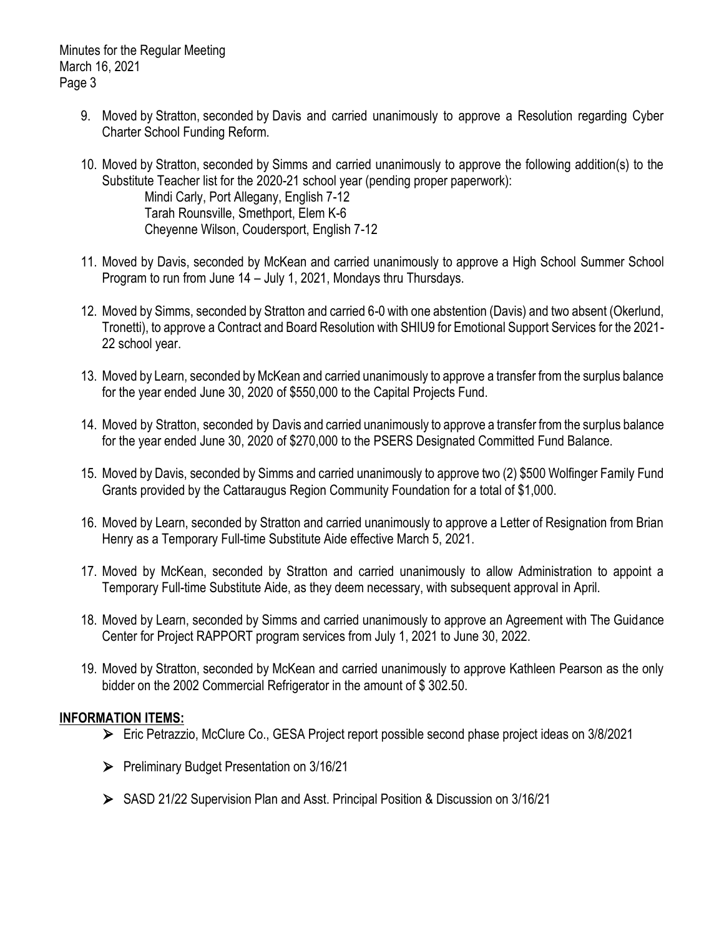Minutes for the Regular Meeting March 16, 2021 Page 3

- 9. Moved by Stratton, seconded by Davis and carried unanimously to approve a Resolution regarding Cyber Charter School Funding Reform.
- 10. Moved by Stratton, seconded by Simms and carried unanimously to approve the following addition(s) to the Substitute Teacher list for the 2020-21 school year (pending proper paperwork): Mindi Carly, Port Allegany, English 7-12 Tarah Rounsville, Smethport, Elem K-6 Cheyenne Wilson, Coudersport, English 7-12
- 11. Moved by Davis, seconded by McKean and carried unanimously to approve a High School Summer School Program to run from June 14 – July 1, 2021, Mondays thru Thursdays.
- 12. Moved by Simms, seconded by Stratton and carried 6-0 with one abstention (Davis) and two absent (Okerlund, Tronetti), to approve a Contract and Board Resolution with SHIU9 for Emotional Support Services for the 2021- 22 school year.
- 13. Moved by Learn, seconded by McKean and carried unanimously to approve a transfer from the surplus balance for the year ended June 30, 2020 of \$550,000 to the Capital Projects Fund.
- 14. Moved by Stratton, seconded by Davis and carried unanimously to approve a transfer from the surplus balance for the year ended June 30, 2020 of \$270,000 to the PSERS Designated Committed Fund Balance.
- 15. Moved by Davis, seconded by Simms and carried unanimously to approve two (2) \$500 Wolfinger Family Fund Grants provided by the Cattaraugus Region Community Foundation for a total of \$1,000.
- 16. Moved by Learn, seconded by Stratton and carried unanimously to approve a Letter of Resignation from Brian Henry as a Temporary Full-time Substitute Aide effective March 5, 2021.
- 17. Moved by McKean, seconded by Stratton and carried unanimously to allow Administration to appoint a Temporary Full-time Substitute Aide, as they deem necessary, with subsequent approval in April.
- 18. Moved by Learn, seconded by Simms and carried unanimously to approve an Agreement with The Guidance Center for Project RAPPORT program services from July 1, 2021 to June 30, 2022.
- 19. Moved by Stratton, seconded by McKean and carried unanimously to approve Kathleen Pearson as the only bidder on the 2002 Commercial Refrigerator in the amount of \$ 302.50.

#### **INFORMATION ITEMS:**

- ⮚ Eric Petrazzio, McClure Co., GESA Project report possible second phase project ideas on 3/8/2021
- ⮚ Preliminary Budget Presentation on 3/16/21
- ⮚ SASD 21/22 Supervision Plan and Asst. Principal Position & Discussion on 3/16/21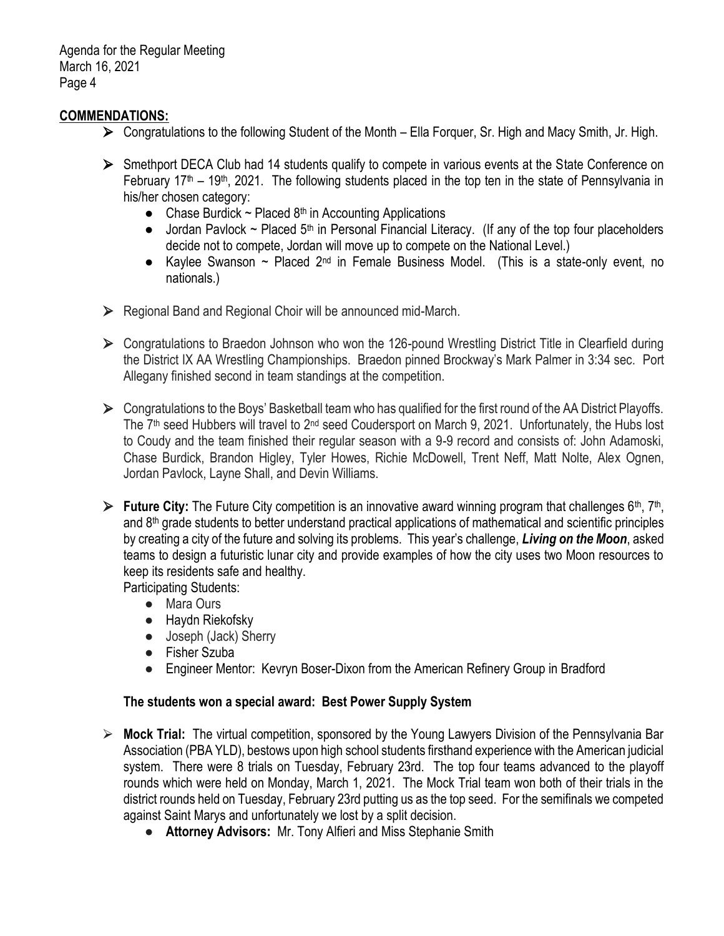Agenda for the Regular Meeting March 16, 2021 Page 4

#### **COMMENDATIONS:**

- $\triangleright$  Congratulations to the following Student of the Month Ella Forquer, Sr. High and Macy Smith, Jr. High.
- ► Smethport DECA Club had 14 students qualify to compete in various events at the State Conference on February  $17<sup>th</sup> - 19<sup>th</sup>$ , 2021. The following students placed in the top ten in the state of Pennsylvania in his/her chosen category:
	- Chase Burdick  $\sim$  Placed 8<sup>th</sup> in Accounting Applications
	- $\bullet$  Jordan Pavlock ~ Placed 5<sup>th</sup> in Personal Financial Literacy. (If any of the top four placeholders decide not to compete, Jordan will move up to compete on the National Level.)
	- Kaylee Swanson ~ Placed  $2^{nd}$  in Female Business Model. (This is a state-only event, no nationals.)
- $\triangleright$  Regional Band and Regional Choir will be announced mid-March.
- ▶ Congratulations to Braedon Johnson who won the 126-pound Wrestling District Title in Clearfield during the District IX AA Wrestling Championships. Braedon pinned Brockway's Mark Palmer in 3:34 sec. Port Allegany finished second in team standings at the competition.
- $\triangleright$  Congratulations to the Boys' Basketball team who has qualified for the first round of the AA District Playoffs. The 7<sup>th</sup> seed Hubbers will travel to 2<sup>nd</sup> seed Coudersport on March 9, 2021. Unfortunately, the Hubs lost to Coudy and the team finished their regular season with a 9-9 record and consists of: John Adamoski, Chase Burdick, Brandon Higley, Tyler Howes, Richie McDowell, Trent Neff, Matt Nolte, Alex Ognen, Jordan Pavlock, Layne Shall, and Devin Williams.
- ► **Future City:** The Future City competition is an innovative award winning program that challenges 6<sup>th</sup>, 7<sup>th</sup>, and  $8<sup>th</sup>$  grade students to better understand practical applications of mathematical and scientific principles by creating a city of the future and solving its problems. This year's challenge, *Living on the Moon*, asked teams to design a futuristic lunar city and provide examples of how the city uses two Moon resources to keep its residents safe and healthy.

Participating Students:

- Mara Ours
- Haydn Riekofsky
- Joseph (Jack) Sherry
- Fisher Szuba
- Engineer Mentor: Kevryn Boser-Dixon from the American Refinery Group in Bradford

#### **The students won a special award: Best Power Supply System**

- ⮚ **Mock Trial:** The virtual competition, sponsored by the Young Lawyers Division of the Pennsylvania Bar Association (PBA YLD), bestows upon high school students firsthand experience with the American judicial system. There were 8 trials on Tuesday, February 23rd. The top four teams advanced to the playoff rounds which were held on Monday, March 1, 2021. The Mock Trial team won both of their trials in the district rounds held on Tuesday, February 23rd putting us as the top seed. For the semifinals we competed against Saint Marys and unfortunately we lost by a split decision.
	- **Attorney Advisors:** Mr. Tony Alfieri and Miss Stephanie Smith